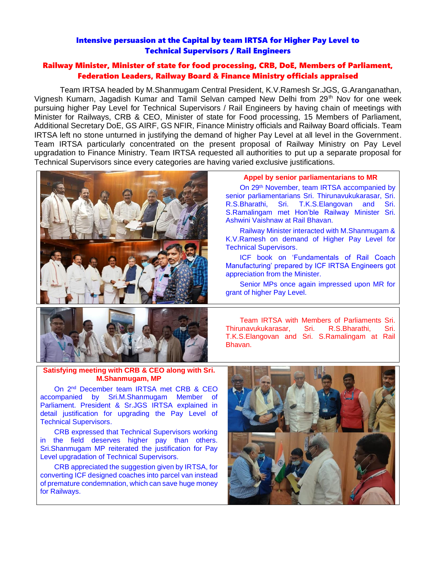# Intensive persuasion at the Capital by team IRTSA for Higher Pay Level to Technical Supervisors / Rail Engineers

# Railway Minister, Minister of state for food processing, CRB, DoE, Members of Parliament, Federation Leaders, Railway Board & Finance Ministry officials appraised

Team IRTSA headed by M.Shanmugam Central President, K.V.Ramesh Sr.JGS, G.Aranganathan, Vignesh Kumarn, Jagadish Kumar and Tamil Selvan camped New Delhi from 29<sup>th</sup> Nov for one week pursuing higher Pay Level for Technical Supervisors / Rail Engineers by having chain of meetings with Minister for Railways, CRB & CEO, Minister of state for Food processing, 15 Members of Parliament, Additional Secretary DoE, GS AIRF, GS NFIR, Finance Ministry officials and Railway Board officials. Team IRTSA left no stone unturned in justifying the demand of higher Pay Level at all level in the Government. Team IRTSA particularly concentrated on the present proposal of Railway Ministry on Pay Level upgradation to Finance Ministry. Team IRTSA requested all authorities to put up a separate proposal for Technical Supervisors since every categories are having varied exclusive justifications.



## **Appel by senior parliamentarians to MR**

On 29th November, team IRTSA accompanied by senior parliamentarians Sri. Thirunavukukarasar, Sri. R.S.Bharathi, Sri. T.K.S.Elangovan and Sri. S.Ramalingam met Hon'ble Railway Minister Sri. Ashwini Vaishnaw at Rail Bhavan.

Railway Minister interacted with M.Shanmugam & K.V.Ramesh on demand of Higher Pay Level for Technical Supervisors.

ICF book on 'Fundamentals of Rail Coach Manufacturing' prepared by ICF IRTSA Engineers got appreciation from the Minister.

Senior MPs once again impressed upon MR for grant of higher Pay Level.



Team IRTSA with Members of Parliaments Sri. Thirunavukukarasar, Sri. R.S.Bharathi, Sri. T.K.S.Elangovan and Sri. S.Ramalingam at Rail Bhavan.

### **Satisfying meeting with CRB & CEO along with Sri. M.Shanmugam, MP**

On 2nd December team IRTSA met CRB & CEO accompanied by Sri.M.Shanmugam Member of Parliament. President & Sr.JGS IRTSA explained in detail justification for upgrading the Pay Level of Technical Supervisors.

CRB expressed that Technical Supervisors working in the field deserves higher pay than others. Sri.Shanmugam MP reiterated the justification for Pay Level upgradation of Technical Supervisors.

CRB appreciated the suggestion given by IRTSA, for converting ICF designed coaches into parcel van instead of premature condemnation, which can save huge money for Railways.

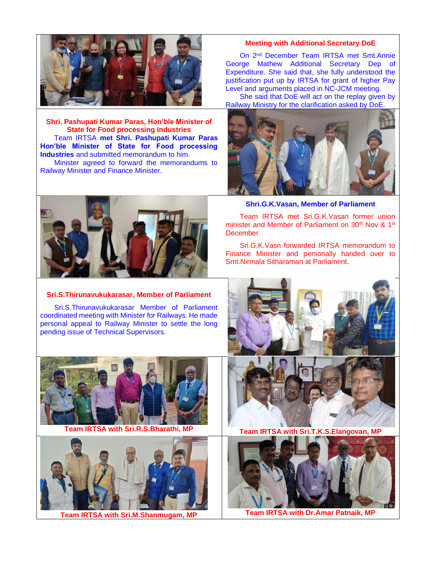

**Shri. Pashupati Kumar Paras, Hon'ble Minister of State for Food processing Industries** Team IRTSA **met Shri. Pashupati Kumar Paras Hon'ble Minister of State for Food processing Industries** and submitted memorandum to him. Minister agreed to forward the memorandums to Railway Minister and Finance Minister.



### **Sri.S.Thirunavukukarasar, Member of Parliament**

Sri.S.Thirunavukukarasar Member of Parliament coordinated meeting with Minister for Railways. He made personal appeal to Railway Minister to settle the long pending issue of Technical Supervisors.



**Team IRTSA with Sri.R.S.Bharathi, MP Team IRTSA with Sri.T.K.S.Elangovan, MP**



**Team IRTSA with Sri.M.Shanmugam, MP Team IRTSA with Dr.Amar Patnaik, MP**

### **Meeting with Additional Secretary DoE**

On 2nd December Team IRTSA met Smt.Annie George Mathew Additional Secretary Dep of Expenditure. She said that, she fully understood the justification put up by IRTSA for grant of higher Pay Level and arguments placed in NC-JCM meeting.

She said that DoE will act on the replay given by Railway Ministry for the clarification asked by DoE.



**Shri.G.K.Vasan, Member of Parliament**

Team IRTSA met Sri.G.K.Vasan former union minister and Member of Parliament on 30<sup>th</sup> Nov & 1<sup>st</sup> December.

Sri.G.K.Vasn forwarded IRTSA memorandum to Finance Minister and personally handed over to Smt.Nirmala Sitharaman at Parliament.





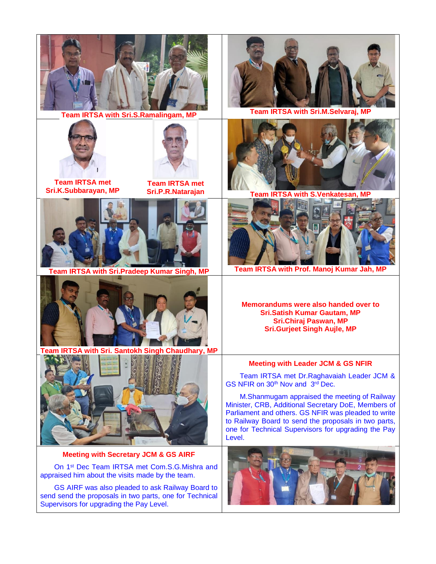





**Team IRTSA met Sri.K.Subbarayan, MP**

**Team IRTSA met** 



**Team IRTSA with Sri.Pradeep Kumar Singh, MP Team IRTSA with Prof. Manoj Kumar Jah, MP**



**Team IRTSA with Sri. Santokh Singh Chaudhary, MP**



# **Meeting with Secretary JCM & GS AIRF**

On 1st Dec Team IRTSA met Com.S.G.Mishra and appraised him about the visits made by the team.

GS AIRF was also pleaded to ask Railway Board to send send the proposals in two parts, one for Technical Supervisors for upgrading the Pay Level.



**Team IRTSA with Sri.S.Ramalingam, MP Team IRTSA with Sri.M.Selvaraj, MP**

**Sri.P.R.Natarajan Team IRTSA with S.Venkatesan, MP**



**Memorandums were also handed over to Sri.Satish Kumar Gautam, MP Sri.Chiraj Paswan, MP Sri.Gurjeet Singh Aujle, MP**

## **Meeting with Leader JCM & GS NFIR**

Team IRTSA met Dr.Raghavaiah Leader JCM & GS NFIR on 30<sup>th</sup> Nov and 3<sup>rd</sup> Dec.

M.Shanmugam appraised the meeting of Railway Minister, CRB, Additional Secretary DoE, Members of Parliament and others. GS NFIR was pleaded to write to Railway Board to send the proposals in two parts, one for Technical Supervisors for upgrading the Pay Level.